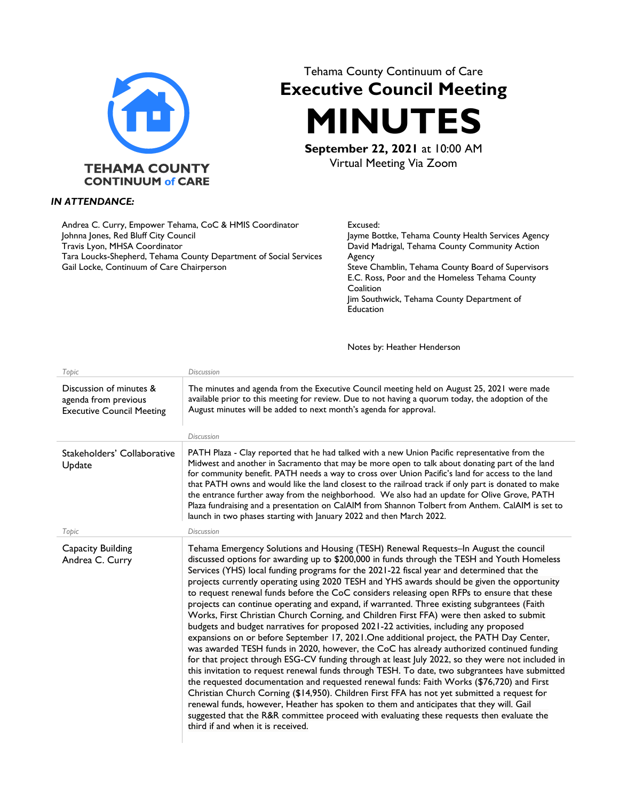

## *IN ATTENDANCE:*

| Andrea C. Curry, Empower Tehama, CoC & HMIS Coordinator           | Excused:                                           |
|-------------------------------------------------------------------|----------------------------------------------------|
| Johnna Jones, Red Bluff City Council                              | Jayme Bottke, Tehama County Health Services Agency |
| Travis Lyon, MHSA Coordinator                                     | David Madrigal, Tehama County Community Action     |
| Tara Loucks-Shepherd, Tehama County Department of Social Services | Agency                                             |
| Gail Locke, Continuum of Care Chairperson                         | Steve Chamblin, Tehama County Board of Supervisors |
|                                                                   | E.C. Ross, Poor and the Homeless Tehama County     |
|                                                                   | Coalition                                          |
|                                                                   | Jim Southwick, Tehama County Department of         |

Notes by: Heather Henderson

**Education** 

Tehama County Continuum of Care **Executive Council Meeting** 

**MINUTES**

**September 22, 2021** at 10:00 AM Virtual Meeting Via Zoom

| Topic                                                                               | <b>Discussion</b>                                                                                                                                                                                                                                                                                                                                                                                                                                                                                                                                                                                                                                                                                                                                                                                                                                                                                                                                                                                                                                                                                                                                                                                                                                                                                                                                                                                                                                                                                                                                                                         |
|-------------------------------------------------------------------------------------|-------------------------------------------------------------------------------------------------------------------------------------------------------------------------------------------------------------------------------------------------------------------------------------------------------------------------------------------------------------------------------------------------------------------------------------------------------------------------------------------------------------------------------------------------------------------------------------------------------------------------------------------------------------------------------------------------------------------------------------------------------------------------------------------------------------------------------------------------------------------------------------------------------------------------------------------------------------------------------------------------------------------------------------------------------------------------------------------------------------------------------------------------------------------------------------------------------------------------------------------------------------------------------------------------------------------------------------------------------------------------------------------------------------------------------------------------------------------------------------------------------------------------------------------------------------------------------------------|
| Discussion of minutes &<br>agenda from previous<br><b>Executive Council Meeting</b> | The minutes and agenda from the Executive Council meeting held on August 25, 2021 were made<br>available prior to this meeting for review. Due to not having a quorum today, the adoption of the<br>August minutes will be added to next month's agenda for approval.<br><b>Discussion</b>                                                                                                                                                                                                                                                                                                                                                                                                                                                                                                                                                                                                                                                                                                                                                                                                                                                                                                                                                                                                                                                                                                                                                                                                                                                                                                |
|                                                                                     |                                                                                                                                                                                                                                                                                                                                                                                                                                                                                                                                                                                                                                                                                                                                                                                                                                                                                                                                                                                                                                                                                                                                                                                                                                                                                                                                                                                                                                                                                                                                                                                           |
| Stakeholders' Collaborative<br>Update                                               | PATH Plaza - Clay reported that he had talked with a new Union Pacific representative from the<br>Midwest and another in Sacramento that may be more open to talk about donating part of the land<br>for community benefit. PATH needs a way to cross over Union Pacific's land for access to the land<br>that PATH owns and would like the land closest to the railroad track if only part is donated to make<br>the entrance further away from the neighborhood. We also had an update for Olive Grove, PATH<br>Plaza fundraising and a presentation on CalAIM from Shannon Tolbert from Anthem. CalAIM is set to<br>launch in two phases starting with January 2022 and then March 2022.                                                                                                                                                                                                                                                                                                                                                                                                                                                                                                                                                                                                                                                                                                                                                                                                                                                                                               |
| Topic                                                                               | <b>Discussion</b>                                                                                                                                                                                                                                                                                                                                                                                                                                                                                                                                                                                                                                                                                                                                                                                                                                                                                                                                                                                                                                                                                                                                                                                                                                                                                                                                                                                                                                                                                                                                                                         |
| Capacity Building<br>Andrea C. Curry                                                | Tehama Emergency Solutions and Housing (TESH) Renewal Requests-In August the council<br>discussed options for awarding up to \$200,000 in funds through the TESH and Youth Homeless<br>Services (YHS) local funding programs for the 2021-22 fiscal year and determined that the<br>projects currently operating using 2020 TESH and YHS awards should be given the opportunity<br>to request renewal funds before the CoC considers releasing open RFPs to ensure that these<br>projects can continue operating and expand, if warranted. Three existing subgrantees (Faith<br>Works, First Christian Church Corning, and Children First FFA) were then asked to submit<br>budgets and budget narratives for proposed 2021-22 activities, including any proposed<br>expansions on or before September 17, 2021. One additional project, the PATH Day Center,<br>was awarded TESH funds in 2020, however, the CoC has already authorized continued funding<br>for that project through ESG-CV funding through at least July 2022, so they were not included in<br>this invitation to request renewal funds through TESH. To date, two subgrantees have submitted<br>the requested documentation and requested renewal funds: Faith Works (\$76,720) and First<br>Christian Church Corning (\$14,950). Children First FFA has not yet submitted a request for<br>renewal funds, however, Heather has spoken to them and anticipates that they will. Gail<br>suggested that the R&R committee proceed with evaluating these requests then evaluate the<br>third if and when it is received. |